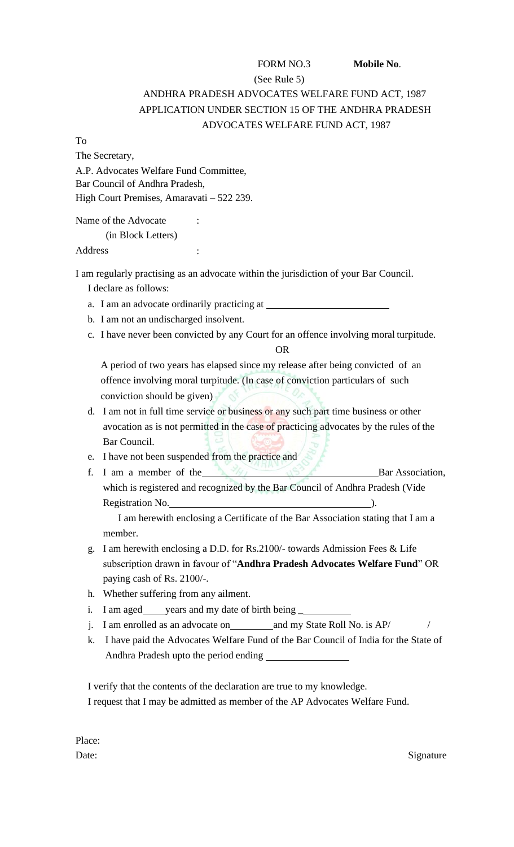# FORM NO.3 **Mobile No**. (See Rule 5) ANDHRA PRADESH ADVOCATES WELFARE FUND ACT, 1987 APPLICATION UNDER SECTION 15 OF THE ANDHRA PRADESH ADVOCATES WELFARE FUND ACT, 1987

To

The Secretary, A.P. Advocates Welfare Fund Committee, Bar Council of Andhra Pradesh, High Court Premises, Amaravati – 522 239.

Name of the Advocate : (in Block Letters) Address :

I am regularly practising as an advocate within the jurisdiction of your Bar Council.

I declare as follows:

- a. I am an advocate ordinarily practicing at
- b. I am not an undischarged insolvent.
- c. I have never been convicted by any Court for an offence involving moral turpitude.

OR

A period of two years has elapsed since my release after being convicted of an offence involving moral turpitude. (In case of conviction particulars of such conviction should be given)

d. I am not in full time service or business or any such part time business or other avocation as is not permitted in the case of practicing advocates by the rules of the Bar Council.

e. I have not been suspended from the practice and

f. I am a member of the  $\frac{1}{2}$  Bar Association, which is registered and recognized by the Bar Council of Andhra Pradesh (Vide Registration No. 2008. (2008).

I am herewith enclosing a Certificate of the Bar Association stating that I am a member.

- g. I am herewith enclosing a D.D. for Rs.2100/- towards Admission Fees & Life subscription drawn in favour of "**Andhra Pradesh Advocates Welfare Fund**" OR paying cash of Rs. 2100/-.
- h. Whether suffering from any ailment.
- i. I am aged vears and my date of birth being
- j. I am enrolled as an advocate on and my State Roll No. is AP/
- k. I have paid the Advocates Welfare Fund of the Bar Council of India for the State of Andhra Pradesh upto the period ending

I verify that the contents of the declaration are true to my knowledge. I request that I may be admitted as member of the AP Advocates Welfare Fund.

Place:

Date: Signature